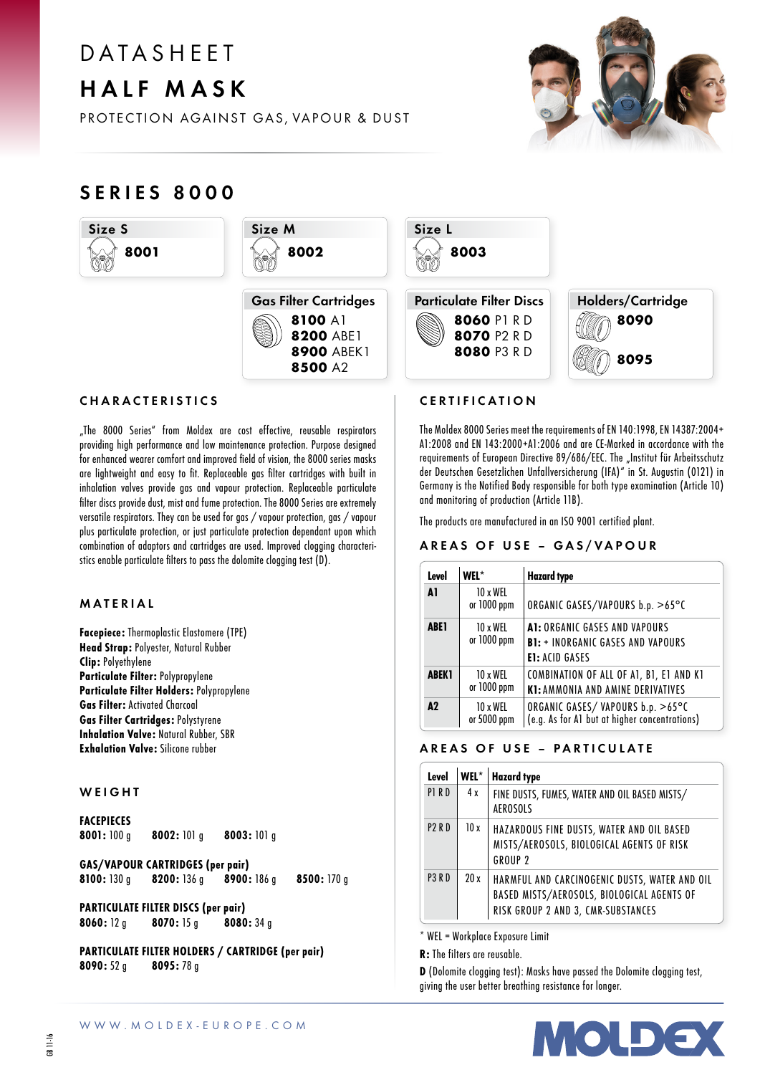# D A T A S H F F T HALF MASK

PROTECTION AGAINST GAS, VAPOUR & DUST



# SERIES 8000





8100 A1 8200 ABE1 **8900 ABEK1** 8500 A2

# CHARACTERISTICS

"The 8000 Series" from Moldex are cost effective, reusable respirators providing high performance and low maintenance protection. Purpose designed for enhanced wearer comfort and improved field of vision, the 8000 series masks are lightweight and easy to fit. Replaceable gas filter cartridges with built in inhalation valves provide gas and vapour protection. Replaceable particulate filter discs provide dust, mist and fume protection. The 8000 Series are extremely versatile respirators. They can be used for gas / vapour protection, gas / vapour plus particulate protection, or just particulate protection dependant upon which combination of adaptors and cartridges are used. Improved clogging characteristics enable particulate filters to pass the dolomite clogging test (D).

## MATERIAL

Facepiece: Thermoplastic Elastomere (TPE) Head Strap: Polyester, Natural Rubber Clip: Polyethylene Particulate Filter: Polypropylene Particulate Filter Holders: Polypropylene Gas Filter: Activated Charcoal Gas Filter Cartridges: Polystyrene Inhalation Valve: Natural Rubber, SBR Exhalation Valve: Silicone rubber

#### **WEIGHT**

# FACEPIECES<br>8001:100 a

8002: 101 g 8003: 101 g

GAS/VAPOUR CARTRIDGES (per pair) 8200: 136 g 8900: 186 g 8500: 170 g

PARTICULATE FILTER DISCS (per pair) 8060: 12 g 8070: 15 g 8080: 34 g

PARTICULATE FILTER HOLDERS / CARTRIDGE (per pair) 8090: 52 g 8095: 78 g





### CERTIFICATION

The Moldex 8000 Series meet the requirements of EN 140:1998, EN 14387:2004+ A1:2008 and EN 143:2000+A1:2006 and are CE-Marked in accordance with the requirements of European Directive 89/686/EEC. The "Institut für Arbeitsschutz der Deutschen Gesetzlichen Unfallversicherung (IFA)" in St. Augustin (0121) in Germany is the Notified Body responsible for both type examination (Article 10) and monitoring of production (Article 11B).

The products are manufactured in an ISO 9001 certified plant.

#### AREAS OF USE - GAS/VAPOUR

| Level         | WFL*                    | <b>Hazard type</b>                                                                                 |  |
|---------------|-------------------------|----------------------------------------------------------------------------------------------------|--|
| A1            | 10 x WEL<br>or 1000 ppm | ORGANIC GASES/VAPOURS b.p. >65°C                                                                   |  |
| <b>ABE1</b>   | 10 x WFI<br>or 1000 ppm | A1: ORGANIC GASES AND VAPOURS<br><b>B1: + INORGANIC GASES AND VAPOURS</b><br><b>E1: ACID GASES</b> |  |
| <b>ABEK1</b>  | 10 x WEL<br>or 1000 ppm | COMBINATION OF ALL OF A1, B1, E1 AND K1<br><b>K1: AMMONIA AND AMINE DERIVATIVES</b>                |  |
| $\mathbf{A2}$ | 10 x WEL<br>or 5000 ppm | ORGANIC GASES/VAPOURS b.p. >65°C<br>(e.g. As for A1 but at higher concentrations)                  |  |

# AREAS OF USE – PARTICULATE

| Level             | $WEL^*$ | <b>Hazard type</b>                                                                                                                |
|-------------------|---------|-----------------------------------------------------------------------------------------------------------------------------------|
| P1RD              | 4x      | FINE DUSTS, FUMES, WATER AND OIL BASED MISTS/<br><b>AEROSOLS</b>                                                                  |
| <b>P2RD</b>       | 10x     | HAZARDOUS FINE DUSTS, WATER AND OIL BASED<br>MISTS/AEROSOLS, BIOLOGICAL AGENTS OF RISK<br>GROUP <sub>2</sub>                      |
| P <sub>3</sub> RD | 20x     | HARMFUL AND CARCINOGENIC DUSTS, WATER AND OIL<br>BASED MISTS/AEROSOLS, BIOLOGICAL AGENTS OF<br>RISK GROUP 2 AND 3, CMR-SUBSTANCES |

\* WEL = Workplace Exposure Limit

R: The filters are reusable.

D (Dolomite clogging test): Masks have passed the Dolomite clogging test, giving the user better breathing resistance for longer.